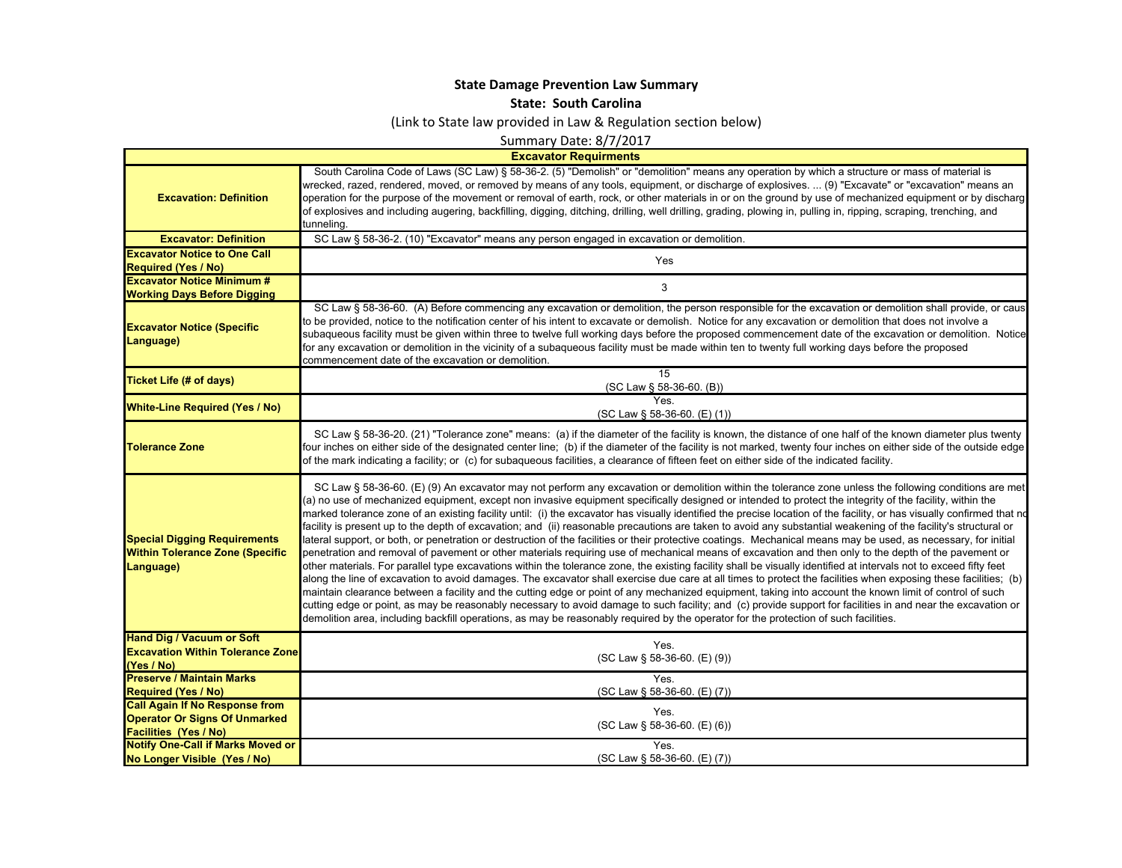## **State Damage Prevention Law Summary**

**State: South Carolina**

(Link to State law provided in Law & Regulation section below)

Summary Date: 8/7/2017

**Excavator Requirments**

 $\mathsf{L}$ 

| <b>Excavation: Definition</b>                                                              | South Carolina Code of Laws (SC Law) § 58-36-2. (5) "Demolish" or "demolition" means any operation by which a structure or mass of material is<br>wrecked, razed, rendered, moved, or removed by means of any tools, equipment, or discharge of explosives.  (9) "Excavate" or "excavation" means an<br>operation for the purpose of the movement or removal of earth, rock, or other materials in or on the ground by use of mechanized equipment or by discharg<br>of explosives and including augering, backfilling, digging, ditching, drilling, well drilling, grading, plowing in, pulling in, ripping, scraping, trenching, and<br>tunneling.                                                                                                                                                                                                                                                                                                                                                                                                                                                                                                                                                                                                                                                                                                                                                                                                                                                                                                                                                                                                                                                                                                                                                   |
|--------------------------------------------------------------------------------------------|--------------------------------------------------------------------------------------------------------------------------------------------------------------------------------------------------------------------------------------------------------------------------------------------------------------------------------------------------------------------------------------------------------------------------------------------------------------------------------------------------------------------------------------------------------------------------------------------------------------------------------------------------------------------------------------------------------------------------------------------------------------------------------------------------------------------------------------------------------------------------------------------------------------------------------------------------------------------------------------------------------------------------------------------------------------------------------------------------------------------------------------------------------------------------------------------------------------------------------------------------------------------------------------------------------------------------------------------------------------------------------------------------------------------------------------------------------------------------------------------------------------------------------------------------------------------------------------------------------------------------------------------------------------------------------------------------------------------------------------------------------------------------------------------------------|
| <b>Excavator: Definition</b>                                                               | SC Law § 58-36-2. (10) "Excavator" means any person engaged in excavation or demolition.                                                                                                                                                                                                                                                                                                                                                                                                                                                                                                                                                                                                                                                                                                                                                                                                                                                                                                                                                                                                                                                                                                                                                                                                                                                                                                                                                                                                                                                                                                                                                                                                                                                                                                               |
| <b>Excavator Notice to One Call</b>                                                        | Yes                                                                                                                                                                                                                                                                                                                                                                                                                                                                                                                                                                                                                                                                                                                                                                                                                                                                                                                                                                                                                                                                                                                                                                                                                                                                                                                                                                                                                                                                                                                                                                                                                                                                                                                                                                                                    |
| <b>Required (Yes / No)</b>                                                                 |                                                                                                                                                                                                                                                                                                                                                                                                                                                                                                                                                                                                                                                                                                                                                                                                                                                                                                                                                                                                                                                                                                                                                                                                                                                                                                                                                                                                                                                                                                                                                                                                                                                                                                                                                                                                        |
| <b>Excavator Notice Minimum #</b>                                                          | 3                                                                                                                                                                                                                                                                                                                                                                                                                                                                                                                                                                                                                                                                                                                                                                                                                                                                                                                                                                                                                                                                                                                                                                                                                                                                                                                                                                                                                                                                                                                                                                                                                                                                                                                                                                                                      |
| <b>Working Days Before Digging</b>                                                         |                                                                                                                                                                                                                                                                                                                                                                                                                                                                                                                                                                                                                                                                                                                                                                                                                                                                                                                                                                                                                                                                                                                                                                                                                                                                                                                                                                                                                                                                                                                                                                                                                                                                                                                                                                                                        |
| <b>Excavator Notice (Specific</b><br>Language)                                             | SC Law § 58-36-60. (A) Before commencing any excavation or demolition, the person responsible for the excavation or demolition shall provide, or caus<br>to be provided, notice to the notification center of his intent to excavate or demolish. Notice for any excavation or demolition that does not involve a<br>subaqueous facility must be given within three to twelve full working days before the proposed commencement date of the excavation or demolition. Notice<br>for any excavation or demolition in the vicinity of a subaqueous facility must be made within ten to twenty full working days before the proposed<br>commencement date of the excavation or demolition.                                                                                                                                                                                                                                                                                                                                                                                                                                                                                                                                                                                                                                                                                                                                                                                                                                                                                                                                                                                                                                                                                                               |
| <b>Ticket Life (# of days)</b>                                                             | 15<br>(SC Law § 58-36-60. (B))                                                                                                                                                                                                                                                                                                                                                                                                                                                                                                                                                                                                                                                                                                                                                                                                                                                                                                                                                                                                                                                                                                                                                                                                                                                                                                                                                                                                                                                                                                                                                                                                                                                                                                                                                                         |
| <b>White-Line Required (Yes / No)</b>                                                      | Yes<br>$(SC Law § 58-36-60. (E) (1))$                                                                                                                                                                                                                                                                                                                                                                                                                                                                                                                                                                                                                                                                                                                                                                                                                                                                                                                                                                                                                                                                                                                                                                                                                                                                                                                                                                                                                                                                                                                                                                                                                                                                                                                                                                  |
| <b>Tolerance Zone</b>                                                                      | SC Law § 58-36-20. (21) "Tolerance zone" means: (a) if the diameter of the facility is known, the distance of one half of the known diameter plus twenty<br>four inches on either side of the designated center line; (b) if the diameter of the facility is not marked, twenty four inches on either side of the outside edge<br>of the mark indicating a facility; or (c) for subaqueous facilities, a clearance of fifteen feet on either side of the indicated facility.                                                                                                                                                                                                                                                                                                                                                                                                                                                                                                                                                                                                                                                                                                                                                                                                                                                                                                                                                                                                                                                                                                                                                                                                                                                                                                                           |
| <b>Special Digging Requirements</b><br><b>Within Tolerance Zone (Specific</b><br>Language) | SC Law § 58-36-60. (E) (9) An excavator may not perform any excavation or demolition within the tolerance zone unless the following conditions are met<br>(a) no use of mechanized equipment, except non invasive equipment specifically designed or intended to protect the integrity of the facility, within the<br>marked tolerance zone of an existing facility until: (i) the excavator has visually identified the precise location of the facility, or has visually confirmed that no<br>facility is present up to the depth of excavation; and (ii) reasonable precautions are taken to avoid any substantial weakening of the facility's structural or<br>lateral support, or both, or penetration or destruction of the facilities or their protective coatings. Mechanical means may be used, as necessary, for initial<br>penetration and removal of pavement or other materials requiring use of mechanical means of excavation and then only to the depth of the pavement or<br>other materials. For parallel type excavations within the tolerance zone, the existing facility shall be visually identified at intervals not to exceed fifty feet<br>along the line of excavation to avoid damages. The excavator shall exercise due care at all times to protect the facilities when exposing these facilities; (b)<br>maintain clearance between a facility and the cutting edge or point of any mechanized equipment, taking into account the known limit of control of such<br>cutting edge or point, as may be reasonably necessary to avoid damage to such facility; and (c) provide support for facilities in and near the excavation or<br>demolition area, including backfill operations, as may be reasonably required by the operator for the protection of such facilities. |
| <b>Hand Dig / Vacuum or Soft</b>                                                           | Yes.                                                                                                                                                                                                                                                                                                                                                                                                                                                                                                                                                                                                                                                                                                                                                                                                                                                                                                                                                                                                                                                                                                                                                                                                                                                                                                                                                                                                                                                                                                                                                                                                                                                                                                                                                                                                   |
| <b>Excavation Within Tolerance Zone</b>                                                    | (SC Law § 58-36-60. (E) (9))                                                                                                                                                                                                                                                                                                                                                                                                                                                                                                                                                                                                                                                                                                                                                                                                                                                                                                                                                                                                                                                                                                                                                                                                                                                                                                                                                                                                                                                                                                                                                                                                                                                                                                                                                                           |
| (Yes / No)                                                                                 |                                                                                                                                                                                                                                                                                                                                                                                                                                                                                                                                                                                                                                                                                                                                                                                                                                                                                                                                                                                                                                                                                                                                                                                                                                                                                                                                                                                                                                                                                                                                                                                                                                                                                                                                                                                                        |
| <b>Preserve / Maintain Marks</b>                                                           | Yes.                                                                                                                                                                                                                                                                                                                                                                                                                                                                                                                                                                                                                                                                                                                                                                                                                                                                                                                                                                                                                                                                                                                                                                                                                                                                                                                                                                                                                                                                                                                                                                                                                                                                                                                                                                                                   |
| <b>Required (Yes / No)</b><br><b>Call Again If No Response from</b>                        | (SC Law § 58-36-60. (E) (7))                                                                                                                                                                                                                                                                                                                                                                                                                                                                                                                                                                                                                                                                                                                                                                                                                                                                                                                                                                                                                                                                                                                                                                                                                                                                                                                                                                                                                                                                                                                                                                                                                                                                                                                                                                           |
| <b>Operator Or Signs Of Unmarked</b>                                                       | Yes.                                                                                                                                                                                                                                                                                                                                                                                                                                                                                                                                                                                                                                                                                                                                                                                                                                                                                                                                                                                                                                                                                                                                                                                                                                                                                                                                                                                                                                                                                                                                                                                                                                                                                                                                                                                                   |
| <b>Facilities (Yes / No)</b>                                                               | (SC Law § 58-36-60. (E) (6))                                                                                                                                                                                                                                                                                                                                                                                                                                                                                                                                                                                                                                                                                                                                                                                                                                                                                                                                                                                                                                                                                                                                                                                                                                                                                                                                                                                                                                                                                                                                                                                                                                                                                                                                                                           |
| <b>Notify One-Call if Marks Moved or</b>                                                   | Yes.                                                                                                                                                                                                                                                                                                                                                                                                                                                                                                                                                                                                                                                                                                                                                                                                                                                                                                                                                                                                                                                                                                                                                                                                                                                                                                                                                                                                                                                                                                                                                                                                                                                                                                                                                                                                   |
| No Longer Visible (Yes / No)                                                               | (SC Law § 58-36-60. (E) (7))                                                                                                                                                                                                                                                                                                                                                                                                                                                                                                                                                                                                                                                                                                                                                                                                                                                                                                                                                                                                                                                                                                                                                                                                                                                                                                                                                                                                                                                                                                                                                                                                                                                                                                                                                                           |
|                                                                                            |                                                                                                                                                                                                                                                                                                                                                                                                                                                                                                                                                                                                                                                                                                                                                                                                                                                                                                                                                                                                                                                                                                                                                                                                                                                                                                                                                                                                                                                                                                                                                                                                                                                                                                                                                                                                        |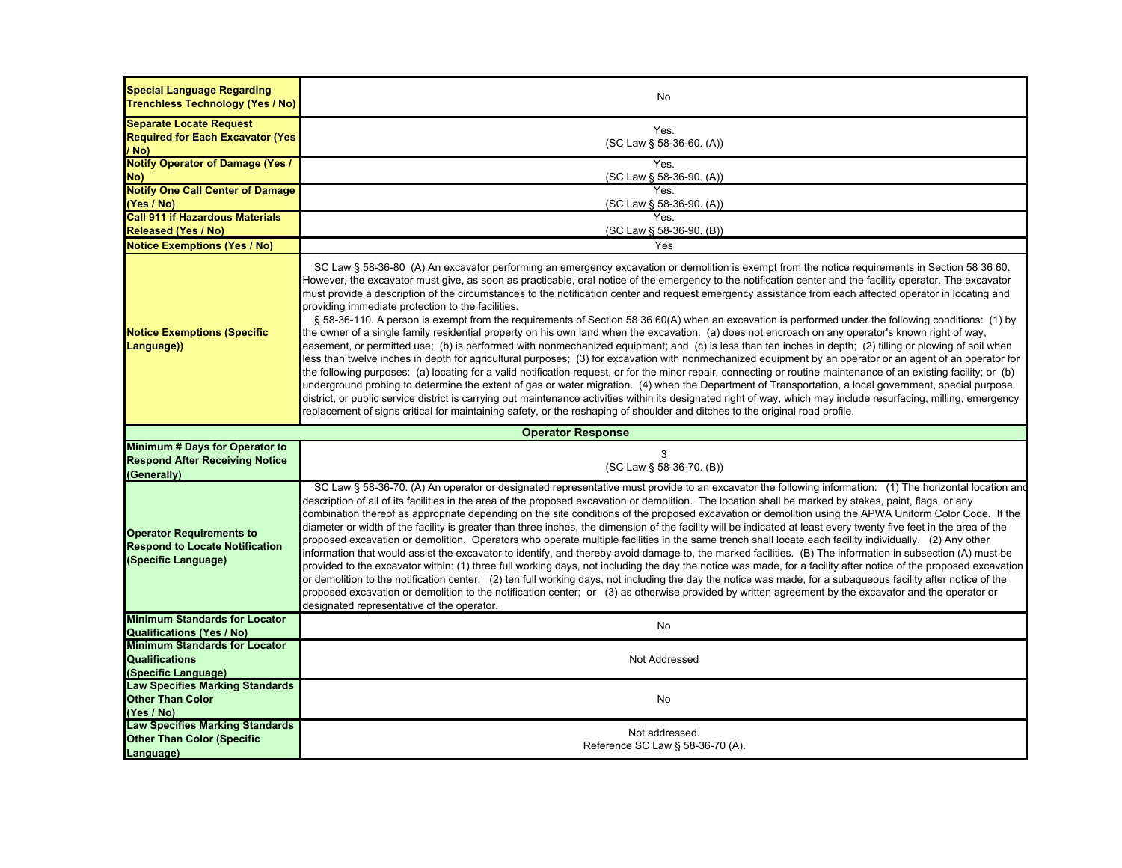| <b>Special Language Regarding</b><br>Trenchless Technology (Yes / No)                           | No                                                                                                                                                                                                                                                                                                                                                                                                                                                                                                                                                                                                                                                                                                                                                                                                                                                                                                                                                                                                                                                                                                                                                                                                                                                                                                                                                                                                                                                                                                                                                                                                                                                                                                                                                                                                     |  |
|-------------------------------------------------------------------------------------------------|--------------------------------------------------------------------------------------------------------------------------------------------------------------------------------------------------------------------------------------------------------------------------------------------------------------------------------------------------------------------------------------------------------------------------------------------------------------------------------------------------------------------------------------------------------------------------------------------------------------------------------------------------------------------------------------------------------------------------------------------------------------------------------------------------------------------------------------------------------------------------------------------------------------------------------------------------------------------------------------------------------------------------------------------------------------------------------------------------------------------------------------------------------------------------------------------------------------------------------------------------------------------------------------------------------------------------------------------------------------------------------------------------------------------------------------------------------------------------------------------------------------------------------------------------------------------------------------------------------------------------------------------------------------------------------------------------------------------------------------------------------------------------------------------------------|--|
| <b>Separate Locate Request</b>                                                                  |                                                                                                                                                                                                                                                                                                                                                                                                                                                                                                                                                                                                                                                                                                                                                                                                                                                                                                                                                                                                                                                                                                                                                                                                                                                                                                                                                                                                                                                                                                                                                                                                                                                                                                                                                                                                        |  |
| <b>Required for Each Excavator (Yes)</b>                                                        | Yes.                                                                                                                                                                                                                                                                                                                                                                                                                                                                                                                                                                                                                                                                                                                                                                                                                                                                                                                                                                                                                                                                                                                                                                                                                                                                                                                                                                                                                                                                                                                                                                                                                                                                                                                                                                                                   |  |
| / No)                                                                                           | (SC Law § 58-36-60. (A))                                                                                                                                                                                                                                                                                                                                                                                                                                                                                                                                                                                                                                                                                                                                                                                                                                                                                                                                                                                                                                                                                                                                                                                                                                                                                                                                                                                                                                                                                                                                                                                                                                                                                                                                                                               |  |
| <b>Notify Operator of Damage (Yes /</b>                                                         | Yes.                                                                                                                                                                                                                                                                                                                                                                                                                                                                                                                                                                                                                                                                                                                                                                                                                                                                                                                                                                                                                                                                                                                                                                                                                                                                                                                                                                                                                                                                                                                                                                                                                                                                                                                                                                                                   |  |
| No)                                                                                             | (SC Law § 58-36-90. (A))                                                                                                                                                                                                                                                                                                                                                                                                                                                                                                                                                                                                                                                                                                                                                                                                                                                                                                                                                                                                                                                                                                                                                                                                                                                                                                                                                                                                                                                                                                                                                                                                                                                                                                                                                                               |  |
| <b>Notify One Call Center of Damage</b>                                                         | Yes.                                                                                                                                                                                                                                                                                                                                                                                                                                                                                                                                                                                                                                                                                                                                                                                                                                                                                                                                                                                                                                                                                                                                                                                                                                                                                                                                                                                                                                                                                                                                                                                                                                                                                                                                                                                                   |  |
| (Yes / No)                                                                                      | (SC Law § 58-36-90. (A))                                                                                                                                                                                                                                                                                                                                                                                                                                                                                                                                                                                                                                                                                                                                                                                                                                                                                                                                                                                                                                                                                                                                                                                                                                                                                                                                                                                                                                                                                                                                                                                                                                                                                                                                                                               |  |
| <b>Call 911 if Hazardous Materials</b>                                                          | Yes.                                                                                                                                                                                                                                                                                                                                                                                                                                                                                                                                                                                                                                                                                                                                                                                                                                                                                                                                                                                                                                                                                                                                                                                                                                                                                                                                                                                                                                                                                                                                                                                                                                                                                                                                                                                                   |  |
| <b>Released (Yes / No)</b>                                                                      | (SC Law § 58-36-90. (B))                                                                                                                                                                                                                                                                                                                                                                                                                                                                                                                                                                                                                                                                                                                                                                                                                                                                                                                                                                                                                                                                                                                                                                                                                                                                                                                                                                                                                                                                                                                                                                                                                                                                                                                                                                               |  |
| <b>Notice Exemptions (Yes / No)</b>                                                             | Yes                                                                                                                                                                                                                                                                                                                                                                                                                                                                                                                                                                                                                                                                                                                                                                                                                                                                                                                                                                                                                                                                                                                                                                                                                                                                                                                                                                                                                                                                                                                                                                                                                                                                                                                                                                                                    |  |
| <b>Notice Exemptions (Specific</b><br>Language))                                                | SC Law § 58-36-80 (A) An excavator performing an emergency excavation or demolition is exempt from the notice requirements in Section 58 36 60.<br>However, the excavator must give, as soon as practicable, oral notice of the emergency to the notification center and the facility operator. The excavator<br>must provide a description of the circumstances to the notification center and request emergency assistance from each affected operator in locating and<br>providing immediate protection to the facilities.<br>§ 58-36-110. A person is exempt from the requirements of Section 58 36 60(A) when an excavation is performed under the following conditions: (1) by<br>the owner of a single family residential property on his own land when the excavation: (a) does not encroach on any operator's known right of way,<br>easement, or permitted use; (b) is performed with nonmechanized equipment; and (c) is less than ten inches in depth; (2) tilling or plowing of soil when<br>less than twelve inches in depth for agricultural purposes; (3) for excavation with nonmechanized equipment by an operator or an agent of an operator for<br>the following purposes: (a) locating for a valid notification request, or for the minor repair, connecting or routine maintenance of an existing facility; or (b)<br>underground probing to determine the extent of gas or water migration. (4) when the Department of Transportation, a local government, special purpose<br>district, or public service district is carrying out maintenance activities within its designated right of way, which may include resurfacing, milling, emergency<br>replacement of signs critical for maintaining safety, or the reshaping of shoulder and ditches to the original road profile. |  |
| <b>Operator Response</b>                                                                        |                                                                                                                                                                                                                                                                                                                                                                                                                                                                                                                                                                                                                                                                                                                                                                                                                                                                                                                                                                                                                                                                                                                                                                                                                                                                                                                                                                                                                                                                                                                                                                                                                                                                                                                                                                                                        |  |
|                                                                                                 |                                                                                                                                                                                                                                                                                                                                                                                                                                                                                                                                                                                                                                                                                                                                                                                                                                                                                                                                                                                                                                                                                                                                                                                                                                                                                                                                                                                                                                                                                                                                                                                                                                                                                                                                                                                                        |  |
| Minimum # Days for Operator to                                                                  |                                                                                                                                                                                                                                                                                                                                                                                                                                                                                                                                                                                                                                                                                                                                                                                                                                                                                                                                                                                                                                                                                                                                                                                                                                                                                                                                                                                                                                                                                                                                                                                                                                                                                                                                                                                                        |  |
| <b>Respond After Receiving Notice</b>                                                           | 3                                                                                                                                                                                                                                                                                                                                                                                                                                                                                                                                                                                                                                                                                                                                                                                                                                                                                                                                                                                                                                                                                                                                                                                                                                                                                                                                                                                                                                                                                                                                                                                                                                                                                                                                                                                                      |  |
| (Generally)                                                                                     | (SC Law § 58-36-70. (B))                                                                                                                                                                                                                                                                                                                                                                                                                                                                                                                                                                                                                                                                                                                                                                                                                                                                                                                                                                                                                                                                                                                                                                                                                                                                                                                                                                                                                                                                                                                                                                                                                                                                                                                                                                               |  |
| <b>Operator Requirements to</b><br><b>Respond to Locate Notification</b><br>(Specific Language) | SC Law § 58-36-70. (A) An operator or designated representative must provide to an excavator the following information: (1) The horizontal location and<br>description of all of its facilities in the area of the proposed excavation or demolition. The location shall be marked by stakes, paint, flags, or any<br>combination thereof as appropriate depending on the site conditions of the proposed excavation or demolition using the APWA Uniform Color Code. If the<br>diameter or width of the facility is greater than three inches, the dimension of the facility will be indicated at least every twenty five feet in the area of the<br>proposed excavation or demolition. Operators who operate multiple facilities in the same trench shall locate each facility individually. (2) Any other<br>information that would assist the excavator to identify, and thereby avoid damage to, the marked facilities. (B) The information in subsection (A) must be<br>provided to the excavator within: (1) three full working days, not including the day the notice was made, for a facility after notice of the proposed excavation<br>or demolition to the notification center; (2) ten full working days, not including the day the notice was made, for a subaqueous facility after notice of the<br>proposed excavation or demolition to the notification center; or (3) as otherwise provided by written agreement by the excavator and the operator or<br>designated representative of the operator.                                                                                                                                                                                                                                                                                  |  |
| <b>Minimum Standards for Locator</b>                                                            | No                                                                                                                                                                                                                                                                                                                                                                                                                                                                                                                                                                                                                                                                                                                                                                                                                                                                                                                                                                                                                                                                                                                                                                                                                                                                                                                                                                                                                                                                                                                                                                                                                                                                                                                                                                                                     |  |
| <b>Qualifications (Yes / No)</b>                                                                |                                                                                                                                                                                                                                                                                                                                                                                                                                                                                                                                                                                                                                                                                                                                                                                                                                                                                                                                                                                                                                                                                                                                                                                                                                                                                                                                                                                                                                                                                                                                                                                                                                                                                                                                                                                                        |  |
| <b>Minimum Standards for Locator</b>                                                            |                                                                                                                                                                                                                                                                                                                                                                                                                                                                                                                                                                                                                                                                                                                                                                                                                                                                                                                                                                                                                                                                                                                                                                                                                                                                                                                                                                                                                                                                                                                                                                                                                                                                                                                                                                                                        |  |
| <b>Qualifications</b>                                                                           | Not Addressed                                                                                                                                                                                                                                                                                                                                                                                                                                                                                                                                                                                                                                                                                                                                                                                                                                                                                                                                                                                                                                                                                                                                                                                                                                                                                                                                                                                                                                                                                                                                                                                                                                                                                                                                                                                          |  |
| (Specific Language)                                                                             |                                                                                                                                                                                                                                                                                                                                                                                                                                                                                                                                                                                                                                                                                                                                                                                                                                                                                                                                                                                                                                                                                                                                                                                                                                                                                                                                                                                                                                                                                                                                                                                                                                                                                                                                                                                                        |  |
| <b>Law Specifies Marking Standards</b>                                                          |                                                                                                                                                                                                                                                                                                                                                                                                                                                                                                                                                                                                                                                                                                                                                                                                                                                                                                                                                                                                                                                                                                                                                                                                                                                                                                                                                                                                                                                                                                                                                                                                                                                                                                                                                                                                        |  |
| <b>Other Than Color</b><br>(Yes / No)                                                           | No                                                                                                                                                                                                                                                                                                                                                                                                                                                                                                                                                                                                                                                                                                                                                                                                                                                                                                                                                                                                                                                                                                                                                                                                                                                                                                                                                                                                                                                                                                                                                                                                                                                                                                                                                                                                     |  |
|                                                                                                 |                                                                                                                                                                                                                                                                                                                                                                                                                                                                                                                                                                                                                                                                                                                                                                                                                                                                                                                                                                                                                                                                                                                                                                                                                                                                                                                                                                                                                                                                                                                                                                                                                                                                                                                                                                                                        |  |
| <b>Law Specifies Marking Standards</b><br><b>Other Than Color (Specific</b>                     | Not addressed.<br>Reference SC Law § 58-36-70 (A).                                                                                                                                                                                                                                                                                                                                                                                                                                                                                                                                                                                                                                                                                                                                                                                                                                                                                                                                                                                                                                                                                                                                                                                                                                                                                                                                                                                                                                                                                                                                                                                                                                                                                                                                                     |  |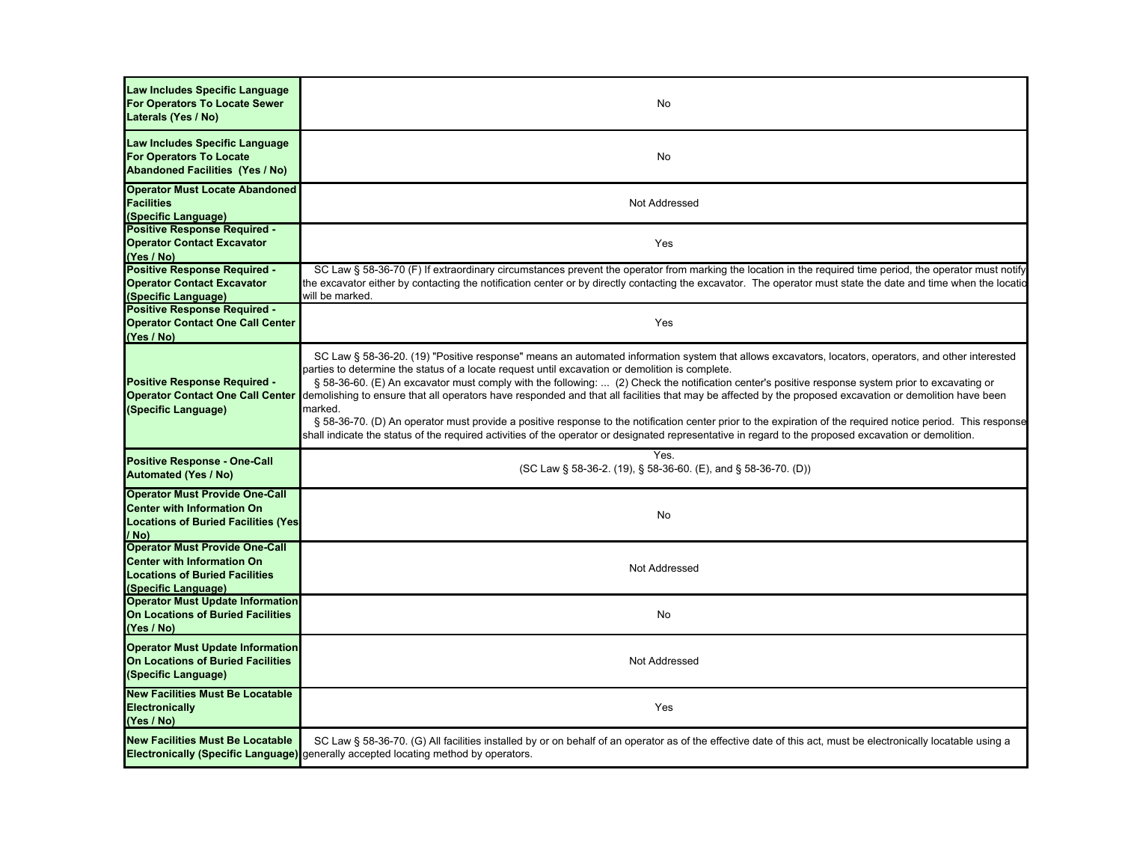| Law Includes Specific Language<br><b>For Operators To Locate Sewer</b><br>Laterals (Yes / No)                                              | No                                                                                                                                                                                                                                                                                                                                                                                                                                                                                                                                                                                                                                                                                                                                                                                                                                                                                                         |
|--------------------------------------------------------------------------------------------------------------------------------------------|------------------------------------------------------------------------------------------------------------------------------------------------------------------------------------------------------------------------------------------------------------------------------------------------------------------------------------------------------------------------------------------------------------------------------------------------------------------------------------------------------------------------------------------------------------------------------------------------------------------------------------------------------------------------------------------------------------------------------------------------------------------------------------------------------------------------------------------------------------------------------------------------------------|
| Law Includes Specific Language<br><b>For Operators To Locate</b><br><b>Abandoned Facilities (Yes / No)</b>                                 | No                                                                                                                                                                                                                                                                                                                                                                                                                                                                                                                                                                                                                                                                                                                                                                                                                                                                                                         |
| <b>Operator Must Locate Abandoned</b><br><b>Facilities</b><br>(Specific Language)                                                          | Not Addressed                                                                                                                                                                                                                                                                                                                                                                                                                                                                                                                                                                                                                                                                                                                                                                                                                                                                                              |
| <b>Positive Response Required -</b><br><b>Operator Contact Excavator</b><br>(Yes / No)                                                     | Yes                                                                                                                                                                                                                                                                                                                                                                                                                                                                                                                                                                                                                                                                                                                                                                                                                                                                                                        |
| <b>Positive Response Required -</b><br><b>Operator Contact Excavator</b><br>(Specific Language)                                            | SC Law § 58-36-70 (F) If extraordinary circumstances prevent the operator from marking the location in the required time period, the operator must notify<br>the excavator either by contacting the notification center or by directly contacting the excavator. The operator must state the date and time when the location<br>will be marked.                                                                                                                                                                                                                                                                                                                                                                                                                                                                                                                                                            |
| <b>Positive Response Required -</b><br><b>Operator Contact One Call Center</b><br>(Yes / No)                                               | Yes                                                                                                                                                                                                                                                                                                                                                                                                                                                                                                                                                                                                                                                                                                                                                                                                                                                                                                        |
| Positive Response Required -<br><b>Operator Contact One Call Center</b><br>(Specific Language)                                             | SC Law § 58-36-20. (19) "Positive response" means an automated information system that allows excavators, locators, operators, and other interested<br>parties to determine the status of a locate request until excavation or demolition is complete.<br>§ 58-36-60. (E) An excavator must comply with the following:  (2) Check the notification center's positive response system prior to excavating or<br>demolishing to ensure that all operators have responded and that all facilities that may be affected by the proposed excavation or demolition have been<br>marked.<br>§ 58-36-70. (D) An operator must provide a positive response to the notification center prior to the expiration of the required notice period. This response<br>shall indicate the status of the required activities of the operator or designated representative in regard to the proposed excavation or demolition. |
| <b>Positive Response - One-Call</b><br><b>Automated (Yes / No)</b>                                                                         | Yes.<br>(SC Law § 58-36-2. (19), § 58-36-60. (E), and § 58-36-70. (D))                                                                                                                                                                                                                                                                                                                                                                                                                                                                                                                                                                                                                                                                                                                                                                                                                                     |
| <b>Operator Must Provide One-Call</b><br><b>Center with Information On</b><br><b>Locations of Buried Facilities (Yes)</b><br>/ No)         | No                                                                                                                                                                                                                                                                                                                                                                                                                                                                                                                                                                                                                                                                                                                                                                                                                                                                                                         |
| <b>Operator Must Provide One-Call</b><br><b>Center with Information On</b><br><b>Locations of Buried Facilities</b><br>(Specific Language) | Not Addressed                                                                                                                                                                                                                                                                                                                                                                                                                                                                                                                                                                                                                                                                                                                                                                                                                                                                                              |
| <b>Operator Must Update Information</b><br><b>On Locations of Buried Facilities</b><br>(Yes / No)                                          | No                                                                                                                                                                                                                                                                                                                                                                                                                                                                                                                                                                                                                                                                                                                                                                                                                                                                                                         |
| <b>Operator Must Update Information</b><br>On Locations of Buried Facilities<br>(Specific Language)                                        | Not Addressed                                                                                                                                                                                                                                                                                                                                                                                                                                                                                                                                                                                                                                                                                                                                                                                                                                                                                              |
| <b>New Facilities Must Be Locatable</b><br>Electronically<br>(Yes / No)                                                                    | Yes                                                                                                                                                                                                                                                                                                                                                                                                                                                                                                                                                                                                                                                                                                                                                                                                                                                                                                        |
| <b>New Facilities Must Be Locatable</b>                                                                                                    | SC Law § 58-36-70. (G) All facilities installed by or on behalf of an operator as of the effective date of this act, must be electronically locatable using a<br><b>Electronically (Specific Language)</b> generally accepted locating method by operators.                                                                                                                                                                                                                                                                                                                                                                                                                                                                                                                                                                                                                                                |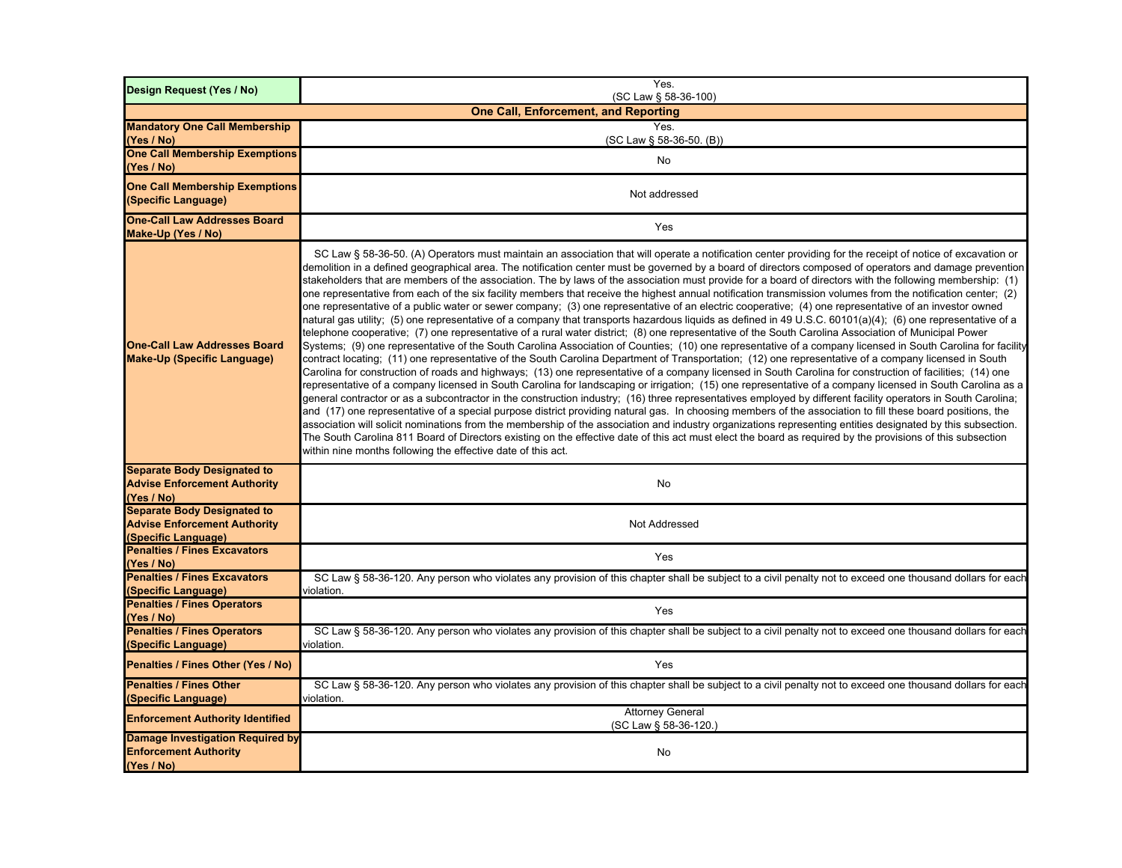| Design Request (Yes / No)                                                                        | Yes.<br>(SC Law § 58-36-100)                                                                                                                                                                                                                                                                                                                                                                                                                                                                                                                                                                                                                                                                                                                                                                                                                                                                                                                                                                                                                                                                                                                                                                                                                                                                                                                                                                                                                                                                                                                                                                                                                                                                                                                                                                                                                                                                                                                                                                                                                                                                                                                                                                                                                                                                                                                                                                                                                                                                                      |  |
|--------------------------------------------------------------------------------------------------|-------------------------------------------------------------------------------------------------------------------------------------------------------------------------------------------------------------------------------------------------------------------------------------------------------------------------------------------------------------------------------------------------------------------------------------------------------------------------------------------------------------------------------------------------------------------------------------------------------------------------------------------------------------------------------------------------------------------------------------------------------------------------------------------------------------------------------------------------------------------------------------------------------------------------------------------------------------------------------------------------------------------------------------------------------------------------------------------------------------------------------------------------------------------------------------------------------------------------------------------------------------------------------------------------------------------------------------------------------------------------------------------------------------------------------------------------------------------------------------------------------------------------------------------------------------------------------------------------------------------------------------------------------------------------------------------------------------------------------------------------------------------------------------------------------------------------------------------------------------------------------------------------------------------------------------------------------------------------------------------------------------------------------------------------------------------------------------------------------------------------------------------------------------------------------------------------------------------------------------------------------------------------------------------------------------------------------------------------------------------------------------------------------------------------------------------------------------------------------------------------------------------|--|
| <b>One Call, Enforcement, and Reporting</b>                                                      |                                                                                                                                                                                                                                                                                                                                                                                                                                                                                                                                                                                                                                                                                                                                                                                                                                                                                                                                                                                                                                                                                                                                                                                                                                                                                                                                                                                                                                                                                                                                                                                                                                                                                                                                                                                                                                                                                                                                                                                                                                                                                                                                                                                                                                                                                                                                                                                                                                                                                                                   |  |
| <b>Mandatory One Call Membership</b>                                                             | Yes.                                                                                                                                                                                                                                                                                                                                                                                                                                                                                                                                                                                                                                                                                                                                                                                                                                                                                                                                                                                                                                                                                                                                                                                                                                                                                                                                                                                                                                                                                                                                                                                                                                                                                                                                                                                                                                                                                                                                                                                                                                                                                                                                                                                                                                                                                                                                                                                                                                                                                                              |  |
| (Yes / No)                                                                                       | (SC Law § 58-36-50. (B))                                                                                                                                                                                                                                                                                                                                                                                                                                                                                                                                                                                                                                                                                                                                                                                                                                                                                                                                                                                                                                                                                                                                                                                                                                                                                                                                                                                                                                                                                                                                                                                                                                                                                                                                                                                                                                                                                                                                                                                                                                                                                                                                                                                                                                                                                                                                                                                                                                                                                          |  |
| <b>One Call Membership Exemptions</b><br>(Yes / No)                                              | No                                                                                                                                                                                                                                                                                                                                                                                                                                                                                                                                                                                                                                                                                                                                                                                                                                                                                                                                                                                                                                                                                                                                                                                                                                                                                                                                                                                                                                                                                                                                                                                                                                                                                                                                                                                                                                                                                                                                                                                                                                                                                                                                                                                                                                                                                                                                                                                                                                                                                                                |  |
| <b>One Call Membership Exemptions</b><br>(Specific Language)                                     | Not addressed                                                                                                                                                                                                                                                                                                                                                                                                                                                                                                                                                                                                                                                                                                                                                                                                                                                                                                                                                                                                                                                                                                                                                                                                                                                                                                                                                                                                                                                                                                                                                                                                                                                                                                                                                                                                                                                                                                                                                                                                                                                                                                                                                                                                                                                                                                                                                                                                                                                                                                     |  |
| <b>One-Call Law Addresses Board</b><br>Make-Up (Yes / No)                                        | Yes                                                                                                                                                                                                                                                                                                                                                                                                                                                                                                                                                                                                                                                                                                                                                                                                                                                                                                                                                                                                                                                                                                                                                                                                                                                                                                                                                                                                                                                                                                                                                                                                                                                                                                                                                                                                                                                                                                                                                                                                                                                                                                                                                                                                                                                                                                                                                                                                                                                                                                               |  |
| <b>One-Call Law Addresses Board</b><br><b>Make-Up (Specific Language)</b>                        | SC Law § 58-36-50. (A) Operators must maintain an association that will operate a notification center providing for the receipt of notice of excavation or<br>demolition in a defined geographical area. The notification center must be governed by a board of directors composed of operators and damage prevention<br>stakeholders that are members of the association. The by laws of the association must provide for a board of directors with the following membership: (1)<br>one representative from each of the six facility members that receive the highest annual notification transmission volumes from the notification center; (2)<br>one representative of a public water or sewer company; (3) one representative of an electric cooperative; (4) one representative of an investor owned<br>natural gas utility; (5) one representative of a company that transports hazardous liquids as defined in 49 U.S.C. 60101(a)(4); (6) one representative of a<br>telephone cooperative; (7) one representative of a rural water district; (8) one representative of the South Carolina Association of Municipal Power<br>Systems; (9) one representative of the South Carolina Association of Counties; (10) one representative of a company licensed in South Carolina for facility<br>contract locating; (11) one representative of the South Carolina Department of Transportation; (12) one representative of a company licensed in South<br>Carolina for construction of roads and highways; (13) one representative of a company licensed in South Carolina for construction of facilities; (14) one<br>representative of a company licensed in South Carolina for landscaping or irrigation; (15) one representative of a company licensed in South Carolina as a<br>general contractor or as a subcontractor in the construction industry; (16) three representatives employed by different facility operators in South Carolina;<br>and (17) one representative of a special purpose district providing natural gas. In choosing members of the association to fill these board positions, the<br>association will solicit nominations from the membership of the association and industry organizations representing entities designated by this subsection.<br>The South Carolina 811 Board of Directors existing on the effective date of this act must elect the board as required by the provisions of this subsection<br>within nine months following the effective date of this act. |  |
| <b>Separate Body Designated to</b><br><b>Advise Enforcement Authority</b><br>(Yes / No)          | No                                                                                                                                                                                                                                                                                                                                                                                                                                                                                                                                                                                                                                                                                                                                                                                                                                                                                                                                                                                                                                                                                                                                                                                                                                                                                                                                                                                                                                                                                                                                                                                                                                                                                                                                                                                                                                                                                                                                                                                                                                                                                                                                                                                                                                                                                                                                                                                                                                                                                                                |  |
| <b>Separate Body Designated to</b><br><b>Advise Enforcement Authority</b><br>(Specific Language) | Not Addressed                                                                                                                                                                                                                                                                                                                                                                                                                                                                                                                                                                                                                                                                                                                                                                                                                                                                                                                                                                                                                                                                                                                                                                                                                                                                                                                                                                                                                                                                                                                                                                                                                                                                                                                                                                                                                                                                                                                                                                                                                                                                                                                                                                                                                                                                                                                                                                                                                                                                                                     |  |
| <b>Penalties / Fines Excavators</b><br>(Yes / No)                                                | Yes                                                                                                                                                                                                                                                                                                                                                                                                                                                                                                                                                                                                                                                                                                                                                                                                                                                                                                                                                                                                                                                                                                                                                                                                                                                                                                                                                                                                                                                                                                                                                                                                                                                                                                                                                                                                                                                                                                                                                                                                                                                                                                                                                                                                                                                                                                                                                                                                                                                                                                               |  |
| <b>Penalties / Fines Excavators</b>                                                              | SC Law § 58-36-120. Any person who violates any provision of this chapter shall be subject to a civil penalty not to exceed one thousand dollars for each                                                                                                                                                                                                                                                                                                                                                                                                                                                                                                                                                                                                                                                                                                                                                                                                                                                                                                                                                                                                                                                                                                                                                                                                                                                                                                                                                                                                                                                                                                                                                                                                                                                                                                                                                                                                                                                                                                                                                                                                                                                                                                                                                                                                                                                                                                                                                         |  |
| (Specific Language)<br><b>Penalties / Fines Operators</b>                                        | violation.<br>Yes                                                                                                                                                                                                                                                                                                                                                                                                                                                                                                                                                                                                                                                                                                                                                                                                                                                                                                                                                                                                                                                                                                                                                                                                                                                                                                                                                                                                                                                                                                                                                                                                                                                                                                                                                                                                                                                                                                                                                                                                                                                                                                                                                                                                                                                                                                                                                                                                                                                                                                 |  |
| (Yes / No)<br><b>Penalties / Fines Operators</b>                                                 | SC Law § 58-36-120. Any person who violates any provision of this chapter shall be subject to a civil penalty not to exceed one thousand dollars for each                                                                                                                                                                                                                                                                                                                                                                                                                                                                                                                                                                                                                                                                                                                                                                                                                                                                                                                                                                                                                                                                                                                                                                                                                                                                                                                                                                                                                                                                                                                                                                                                                                                                                                                                                                                                                                                                                                                                                                                                                                                                                                                                                                                                                                                                                                                                                         |  |
| (Specific Language)<br>Penalties / Fines Other (Yes / No)                                        | violation.<br>Yes                                                                                                                                                                                                                                                                                                                                                                                                                                                                                                                                                                                                                                                                                                                                                                                                                                                                                                                                                                                                                                                                                                                                                                                                                                                                                                                                                                                                                                                                                                                                                                                                                                                                                                                                                                                                                                                                                                                                                                                                                                                                                                                                                                                                                                                                                                                                                                                                                                                                                                 |  |
| <b>Penalties / Fines Other</b><br>(Specific Language)                                            | SC Law § 58-36-120. Any person who violates any provision of this chapter shall be subject to a civil penalty not to exceed one thousand dollars for each<br>violation.                                                                                                                                                                                                                                                                                                                                                                                                                                                                                                                                                                                                                                                                                                                                                                                                                                                                                                                                                                                                                                                                                                                                                                                                                                                                                                                                                                                                                                                                                                                                                                                                                                                                                                                                                                                                                                                                                                                                                                                                                                                                                                                                                                                                                                                                                                                                           |  |
| <b>Enforcement Authority Identified</b>                                                          | <b>Attorney General</b><br>(SC Law § 58-36-120.)                                                                                                                                                                                                                                                                                                                                                                                                                                                                                                                                                                                                                                                                                                                                                                                                                                                                                                                                                                                                                                                                                                                                                                                                                                                                                                                                                                                                                                                                                                                                                                                                                                                                                                                                                                                                                                                                                                                                                                                                                                                                                                                                                                                                                                                                                                                                                                                                                                                                  |  |
| Damage Investigation Required by<br><b>Enforcement Authority</b><br>(Yes / No)                   | No                                                                                                                                                                                                                                                                                                                                                                                                                                                                                                                                                                                                                                                                                                                                                                                                                                                                                                                                                                                                                                                                                                                                                                                                                                                                                                                                                                                                                                                                                                                                                                                                                                                                                                                                                                                                                                                                                                                                                                                                                                                                                                                                                                                                                                                                                                                                                                                                                                                                                                                |  |